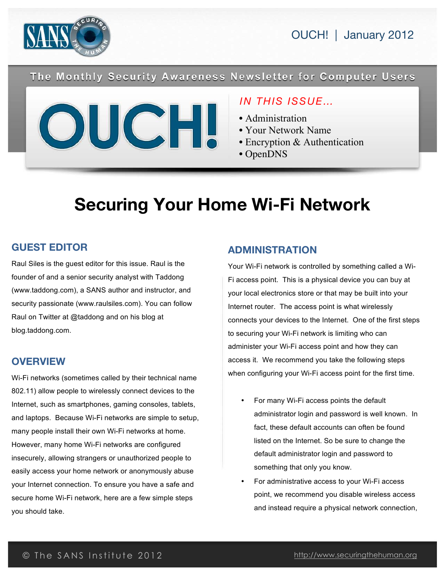

OUCH! | January 2012

The Monthly Security Awareness Newsletter for Computer Users



## *IN THIS ISSUE…*

- Administration
- Your Network Name
- Encryption & Authentication
- OpenDNS

# **Securing Your Home Wi-Fi Network**

#### **GUEST EDITOR**

Raul Siles is the guest editor for this issue. Raul is the founder of and a senior security analyst with Taddong (www.taddong.com), a SANS author and instructor, and security passionate (www.raulsiles.com). You can follow Raul on Twitter at @taddong and on his blog at blog.taddong.com.

#### **OVERVIEW**

Wi-Fi networks (sometimes called by their technical name 802.11) allow people to wirelessly connect devices to the Internet, such as smartphones, gaming consoles, tablets, and laptops. Because Wi-Fi networks are simple to setup, many people install their own Wi-Fi networks at home. However, many home Wi-Fi networks are configured insecurely, allowing strangers or unauthorized people to easily access your home network or anonymously abuse your Internet connection. To ensure you have a safe and secure home Wi-Fi network, here are a few simple steps you should take.

#### **ADMINISTRATION**

Your Wi-Fi network is controlled by something called a Wi-Fi access point. This is a physical device you can buy at your local electronics store or that may be built into your Internet router. The access point is what wirelessly connects your devices to the Internet. One of the first steps to securing your Wi-Fi network is limiting who can administer your Wi-Fi access point and how they can access it. We recommend you take the following steps when configuring your Wi-Fi access point for the first time.

- For many Wi-Fi access points the default administrator login and password is well known. In fact, these default accounts can often be found listed on the Internet. So be sure to change the default administrator login and password to something that only you know.
- For administrative access to your Wi-Fi access point, we recommend you disable wireless access and instead require a physical network connection,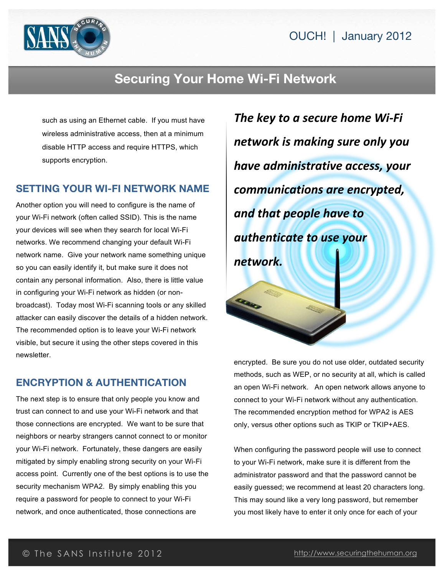

# **Securing Your Home Wi-Fi Network**

such as using an Ethernet cable. If you must have wireless administrative access, then at a minimum disable HTTP access and require HTTPS, which supports encryption.

#### **SETTING YOUR WI-FI NETWORK NAME**

Another option you will need to configure is the name of your Wi-Fi network (often called SSID). This is the name your devices will see when they search for local Wi-Fi networks. We recommend changing your default Wi-Fi network name. Give your network name something unique so you can easily identify it, but make sure it does not contain any personal information. Also, there is little value in configuring your Wi-Fi network as hidden (or nonbroadcast). Today most Wi-Fi scanning tools or any skilled attacker can easily discover the details of a hidden network. The recommended option is to leave your Wi-Fi network visible, but secure it using the other steps covered in this newsletter.

## **ENCRYPTION & AUTHENTICATION**

The next step is to ensure that only people you know and trust can connect to and use your Wi-Fi network and that those connections are encrypted. We want to be sure that neighbors or nearby strangers cannot connect to or monitor your Wi-Fi network. Fortunately, these dangers are easily mitigated by simply enabling strong security on your Wi-Fi access point. Currently one of the best options is to use the security mechanism WPA2. By simply enabling this you require a password for people to connect to your Wi-Fi network, and once authenticated, those connections are

*The key to a secure home Wi-Fi network\$is\$making\$sure\$only\$you\$ have\$administrative\$access,\$your\$ communications\$are\$encrypted,\$ and\$that\$people\$have\$to\$ authenticate\$to use\$your\$ network.*

encrypted. Be sure you do not use older, outdated security methods, such as WEP, or no security at all, which is called an open Wi-Fi network. An open network allows anyone to connect to your Wi-Fi network without any authentication. The recommended encryption method for WPA2 is AES only, versus other options such as TKIP or TKIP+AES.

When configuring the password people will use to connect to your Wi-Fi network, make sure it is different from the administrator password and that the password cannot be easily guessed; we recommend at least 20 characters long. This may sound like a very long password, but remember you most likely have to enter it only once for each of your